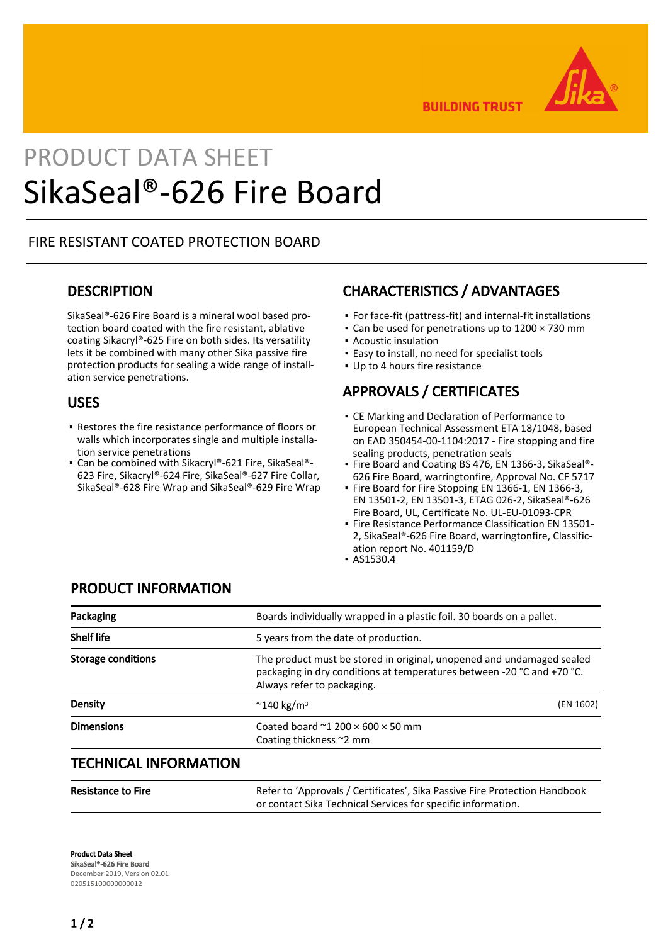

**BUILDING TRUST** 

# PRODUCT DATA SHEET SikaSeal®-626 Fire Board

## FIRE RESISTANT COATED PROTECTION BOARD

## **DESCRIPTION**

SikaSeal®-626 Fire Board is a mineral wool based protection board coated with the fire resistant, ablative coating Sikacryl®-625 Fire on both sides. Its versatility lets it be combined with many other Sika passive fire protection products for sealing a wide range of installation service penetrations.

### USES

- **Restores the fire resistance performance of floors or** walls which incorporates single and multiple installation service penetrations
- Can be combined with Sikacryl®-621 Fire, SikaSeal®-623 Fire, Sikacryl®-624 Fire, SikaSeal®-627 Fire Collar, SikaSeal®-628 Fire Wrap and SikaSeal®-629 Fire Wrap

# CHARACTERISTICS / ADVANTAGES

- For face-fit (pattress-fit) and internal-fit installations
- Can be used for penetrations up to 1200 × 730 mm
- Acoustic insulation
- Easy to install, no need for specialist tools
- Up to 4 hours fire resistance

# APPROVALS / CERTIFICATES

- **CE Marking and Declaration of Performance to** European Technical Assessment ETA 18/1048, based on EAD 350454-00-1104:2017 - Fire stopping and fire sealing products, penetration seals
- Fire Board and Coating BS 476, EN 1366-3, SikaSeal®-626 Fire Board, warringtonfire, Approval No. CF 5717
- Fire Board for Fire Stopping EN 1366-1, EN 1366-3, EN 13501-2, EN 13501-3, ETAG 026-2, SikaSeal®-626 Fire Board, UL, Certificate No. UL-EU-01093-CPR
- Fire Resistance Performance Classification EN 13501-2, SikaSeal®-626 Fire Board, warringtonfire, Classification report No. 401159/D
- AS1530.4

# PRODUCT INFORMATION

| Packaging                    | Boards individually wrapped in a plastic foil. 30 boards on a pallet.                                                                                                         |           |
|------------------------------|-------------------------------------------------------------------------------------------------------------------------------------------------------------------------------|-----------|
| <b>Shelf life</b>            | 5 years from the date of production.                                                                                                                                          |           |
| <b>Storage conditions</b>    | The product must be stored in original, unopened and undamaged sealed<br>packaging in dry conditions at temperatures between -20 °C and +70 °C.<br>Always refer to packaging. |           |
| <b>Density</b>               | $\approx$ 140 kg/m <sup>3</sup>                                                                                                                                               | (EN 1602) |
| <b>Dimensions</b>            | Coated board $\approx$ 1 200 $\times$ 600 $\times$ 50 mm<br>Coating thickness $\sim$ 2 mm                                                                                     |           |
| <b>TECHNICAL INFORMATION</b> |                                                                                                                                                                               |           |

| <b>Resistance to Fire</b> | Refer to 'Approvals / Certificates', Sika Passive Fire Protection Handbook |
|---------------------------|----------------------------------------------------------------------------|
|                           | or contact Sika Technical Services for specific information.               |

Product Data Sheet SikaSeal®-626 Fire Board December 2019, Version 02.01 020515100000000012